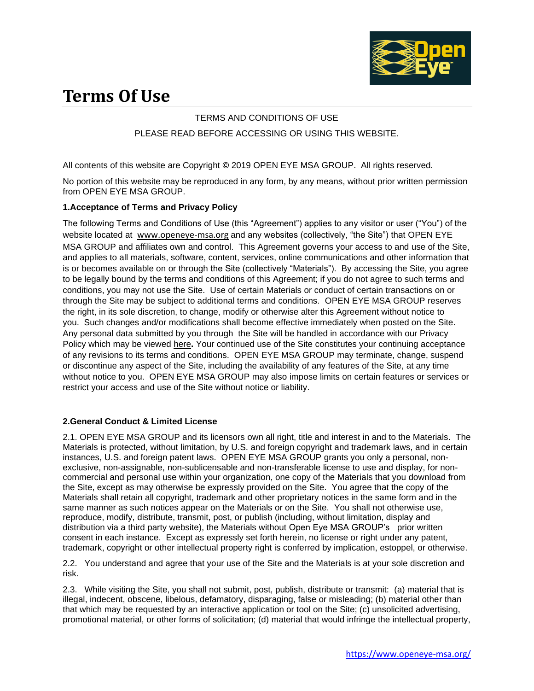

# **Terms Of Use**

# TERMS AND CONDITIONS OF USE PLEASE READ BEFORE ACCESSING OR USING THIS WEBSITE.

All contents of this website are Copyright **©** 2019 OPEN EYE MSA GROUP. All rights reserved.

No portion of this website may be reproduced in any form, by any means, without prior written permission from OPEN EYE MSA GROUP.

# **1.Acceptance of Terms and Privacy Policy**

The following Terms and Conditions of Use (this "Agreement") applies to any visitor or user ("You") of the website located at [www.openeye-msa.org](https://clicktime.symantec.com/3MVw2FzbaYyZMQ22gqJ9AyJ7Vc?u=http%3A%2F%2Fwww.openeye-msa.org) and any websites (collectively, "the Site") that OPEN EYE MSA GROUP and affiliates own and control. This Agreement governs your access to and use of the Site, and applies to all materials, software, content, services, online communications and other information that is or becomes available on or through the Site (collectively "Materials"). By accessing the Site, you agree to be legally bound by the terms and conditions of this Agreement; if you do not agree to such terms and conditions, you may not use the Site. Use of certain Materials or conduct of certain transactions on or through the Site may be subject to additional terms and conditions. OPEN EYE MSA GROUP reserves the right, in its sole discretion, to change, modify or otherwise alter this Agreement without notice to you. Such changes and/or modifications shall become effective immediately when posted on the Site. Any personal data submitted by you through the Site will be handled in accordance with our Privacy Policy which may be viewed [here](https://www.macom.com/privacy-policy)**.** Your continued use of the Site constitutes your continuing acceptance of any revisions to its terms and conditions. OPEN EYE MSA GROUP may terminate, change, suspend or discontinue any aspect of the Site, including the availability of any features of the Site, at any time without notice to you. OPEN EYE MSA GROUP may also impose limits on certain features or services or restrict your access and use of the Site without notice or liability.

# **2.General Conduct & Limited License**

2.1. OPEN EYE MSA GROUP and its licensors own all right, title and interest in and to the Materials. The Materials is protected, without limitation, by U.S. and foreign copyright and trademark laws, and in certain instances, U.S. and foreign patent laws. OPEN EYE MSA GROUP grants you only a personal, nonexclusive, non-assignable, non-sublicensable and non-transferable license to use and display, for noncommercial and personal use within your organization, one copy of the Materials that you download from the Site, except as may otherwise be expressly provided on the Site. You agree that the copy of the Materials shall retain all copyright, trademark and other proprietary notices in the same form and in the same manner as such notices appear on the Materials or on the Site. You shall not otherwise use, reproduce, modify, distribute, transmit, post, or publish (including, without limitation, display and distribution via a third party website), the Materials without Open Eye MSA GROUP's prior written consent in each instance. Except as expressly set forth herein, no license or right under any patent, trademark, copyright or other intellectual property right is conferred by implication, estoppel, or otherwise.

2.2. You understand and agree that your use of the Site and the Materials is at your sole discretion and risk.

2.3. While visiting the Site, you shall not submit, post, publish, distribute or transmit: (a) material that is illegal, indecent, obscene, libelous, defamatory, disparaging, false or misleading; (b) material other than that which may be requested by an interactive application or tool on the Site; (c) unsolicited advertising, promotional material, or other forms of solicitation; (d) material that would infringe the intellectual property,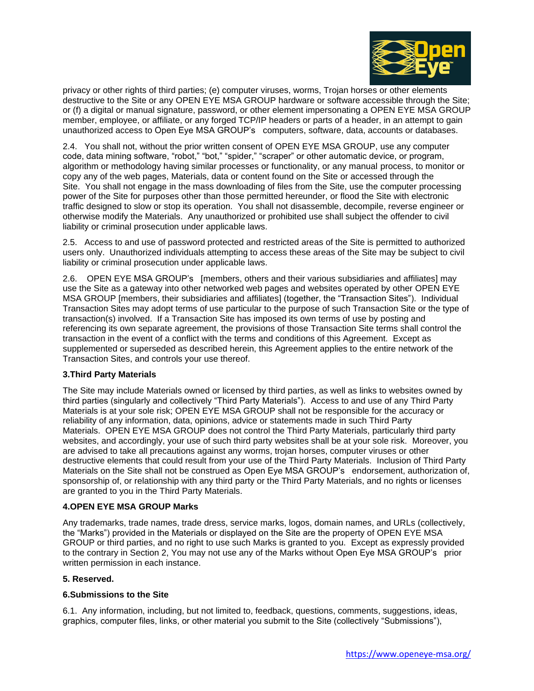

privacy or other rights of third parties; (e) computer viruses, worms, Trojan horses or other elements destructive to the Site or any OPEN EYE MSA GROUP hardware or software accessible through the Site; or (f) a digital or manual signature, password, or other element impersonating a OPEN EYE MSA GROUP member, employee, or affiliate, or any forged TCP/IP headers or parts of a header, in an attempt to gain unauthorized access to Open Eye MSA GROUP's computers, software, data, accounts or databases.

2.4. You shall not, without the prior written consent of OPEN EYE MSA GROUP, use any computer code, data mining software, "robot," "bot," "spider," "scraper" or other automatic device, or program, algorithm or methodology having similar processes or functionality, or any manual process, to monitor or copy any of the web pages, Materials, data or content found on the Site or accessed through the Site. You shall not engage in the mass downloading of files from the Site, use the computer processing power of the Site for purposes other than those permitted hereunder, or flood the Site with electronic traffic designed to slow or stop its operation. You shall not disassemble, decompile, reverse engineer or otherwise modify the Materials. Any unauthorized or prohibited use shall subject the offender to civil liability or criminal prosecution under applicable laws.

2.5. Access to and use of password protected and restricted areas of the Site is permitted to authorized users only. Unauthorized individuals attempting to access these areas of the Site may be subject to civil liability or criminal prosecution under applicable laws.

2.6. OPEN EYE MSA GROUP's [members, others and their various subsidiaries and affiliates] may use the Site as a gateway into other networked web pages and websites operated by other OPEN EYE MSA GROUP [members, their subsidiaries and affiliates] (together, the "Transaction Sites"). Individual Transaction Sites may adopt terms of use particular to the purpose of such Transaction Site or the type of transaction(s) involved. If a Transaction Site has imposed its own terms of use by posting and referencing its own separate agreement, the provisions of those Transaction Site terms shall control the transaction in the event of a conflict with the terms and conditions of this Agreement. Except as supplemented or superseded as described herein, this Agreement applies to the entire network of the Transaction Sites, and controls your use thereof.

# **3.Third Party Materials**

The Site may include Materials owned or licensed by third parties, as well as links to websites owned by third parties (singularly and collectively "Third Party Materials"). Access to and use of any Third Party Materials is at your sole risk; OPEN EYE MSA GROUP shall not be responsible for the accuracy or reliability of any information, data, opinions, advice or statements made in such Third Party Materials. OPEN EYE MSA GROUP does not control the Third Party Materials, particularly third party websites, and accordingly, your use of such third party websites shall be at your sole risk. Moreover, you are advised to take all precautions against any worms, trojan horses, computer viruses or other destructive elements that could result from your use of the Third Party Materials. Inclusion of Third Party Materials on the Site shall not be construed as Open Eye MSA GROUP's endorsement, authorization of, sponsorship of, or relationship with any third party or the Third Party Materials, and no rights or licenses are granted to you in the Third Party Materials.

# **4.OPEN EYE MSA GROUP Marks**

Any trademarks, trade names, trade dress, service marks, logos, domain names, and URLs (collectively, the "Marks") provided in the Materials or displayed on the Site are the property of OPEN EYE MSA GROUP or third parties, and no right to use such Marks is granted to you. Except as expressly provided to the contrary in Section 2, You may not use any of the Marks without Open Eye MSA GROUP's prior written permission in each instance.

#### **5. Reserved.**

# **6.Submissions to the Site**

6.1. Any information, including, but not limited to, feedback, questions, comments, suggestions, ideas, graphics, computer files, links, or other material you submit to the Site (collectively "Submissions"),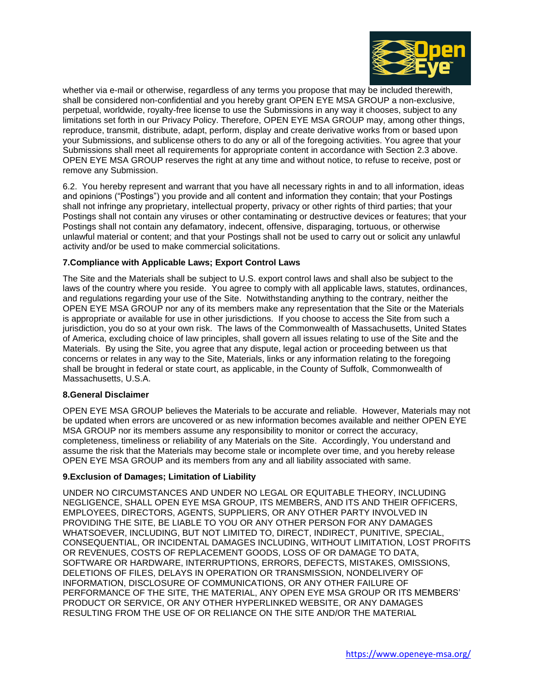

whether via e-mail or otherwise, regardless of any terms you propose that may be included therewith, shall be considered non-confidential and you hereby grant OPEN EYE MSA GROUP a non-exclusive, perpetual, worldwide, royalty-free license to use the Submissions in any way it chooses, subject to any limitations set forth in our Privacy Policy. Therefore, OPEN EYE MSA GROUP may, among other things, reproduce, transmit, distribute, adapt, perform, display and create derivative works from or based upon your Submissions, and sublicense others to do any or all of the foregoing activities. You agree that your Submissions shall meet all requirements for appropriate content in accordance with Section 2.3 above. OPEN EYE MSA GROUP reserves the right at any time and without notice, to refuse to receive, post or remove any Submission.

6.2. You hereby represent and warrant that you have all necessary rights in and to all information, ideas and opinions ("Postings") you provide and all content and information they contain; that your Postings shall not infringe any proprietary, intellectual property, privacy or other rights of third parties; that your Postings shall not contain any viruses or other contaminating or destructive devices or features; that your Postings shall not contain any defamatory, indecent, offensive, disparaging, tortuous, or otherwise unlawful material or content; and that your Postings shall not be used to carry out or solicit any unlawful activity and/or be used to make commercial solicitations.

### **7.Compliance with Applicable Laws; Export Control Laws**

The Site and the Materials shall be subject to U.S. export control laws and shall also be subject to the laws of the country where you reside. You agree to comply with all applicable laws, statutes, ordinances, and regulations regarding your use of the Site. Notwithstanding anything to the contrary, neither the OPEN EYE MSA GROUP nor any of its members make any representation that the Site or the Materials is appropriate or available for use in other jurisdictions. If you choose to access the Site from such a jurisdiction, you do so at your own risk. The laws of the Commonwealth of Massachusetts, United States of America, excluding choice of law principles, shall govern all issues relating to use of the Site and the Materials. By using the Site, you agree that any dispute, legal action or proceeding between us that concerns or relates in any way to the Site, Materials, links or any information relating to the foregoing shall be brought in federal or state court, as applicable, in the County of Suffolk, Commonwealth of Massachusetts, U.S.A.

#### **8.General Disclaimer**

OPEN EYE MSA GROUP believes the Materials to be accurate and reliable. However, Materials may not be updated when errors are uncovered or as new information becomes available and neither OPEN EYE MSA GROUP nor its members assume any responsibility to monitor or correct the accuracy, completeness, timeliness or reliability of any Materials on the Site. Accordingly, You understand and assume the risk that the Materials may become stale or incomplete over time, and you hereby release OPEN EYE MSA GROUP and its members from any and all liability associated with same.

#### **9.Exclusion of Damages; Limitation of Liability**

UNDER NO CIRCUMSTANCES AND UNDER NO LEGAL OR EQUITABLE THEORY, INCLUDING NEGLIGENCE, SHALL OPEN EYE MSA GROUP, ITS MEMBERS, AND ITS AND THEIR OFFICERS, EMPLOYEES, DIRECTORS, AGENTS, SUPPLIERS, OR ANY OTHER PARTY INVOLVED IN PROVIDING THE SITE, BE LIABLE TO YOU OR ANY OTHER PERSON FOR ANY DAMAGES WHATSOEVER, INCLUDING, BUT NOT LIMITED TO, DIRECT, INDIRECT, PUNITIVE, SPECIAL, CONSEQUENTIAL, OR INCIDENTAL DAMAGES INCLUDING, WITHOUT LIMITATION, LOST PROFITS OR REVENUES, COSTS OF REPLACEMENT GOODS, LOSS OF OR DAMAGE TO DATA, SOFTWARE OR HARDWARE, INTERRUPTIONS, ERRORS, DEFECTS, MISTAKES, OMISSIONS, DELETIONS OF FILES, DELAYS IN OPERATION OR TRANSMISSION, NONDELIVERY OF INFORMATION, DISCLOSURE OF COMMUNICATIONS, OR ANY OTHER FAILURE OF PERFORMANCE OF THE SITE, THE MATERIAL, ANY OPEN EYE MSA GROUP OR ITS MEMBERS' PRODUCT OR SERVICE, OR ANY OTHER HYPERLINKED WEBSITE, OR ANY DAMAGES RESULTING FROM THE USE OF OR RELIANCE ON THE SITE AND/OR THE MATERIAL